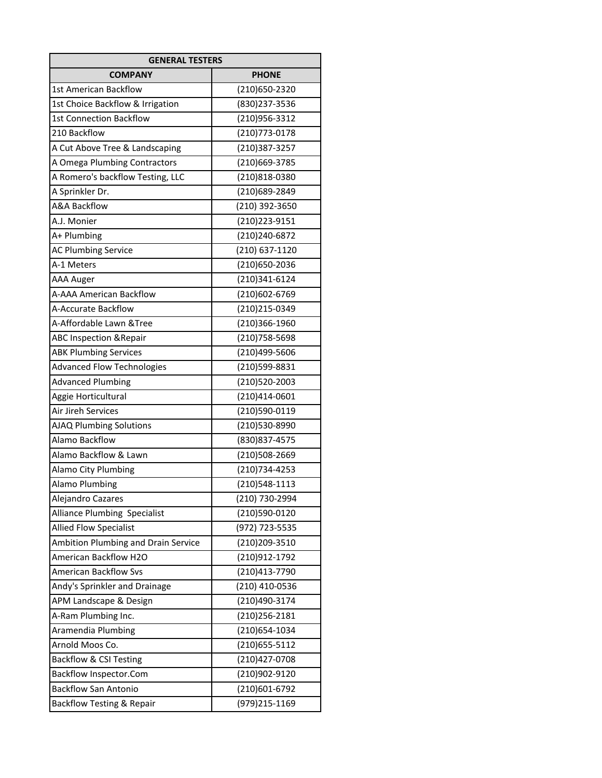| <b>GENERAL TESTERS</b>               |                |
|--------------------------------------|----------------|
| <b>COMPANY</b>                       | <b>PHONE</b>   |
| 1st American Backflow                | (210)650-2320  |
| 1st Choice Backflow & Irrigation     | (830) 237-3536 |
| <b>1st Connection Backflow</b>       | (210)956-3312  |
| 210 Backflow                         | (210) 773-0178 |
| A Cut Above Tree & Landscaping       | (210)387-3257  |
| A Omega Plumbing Contractors         | (210)669-3785  |
| A Romero's backflow Testing, LLC     | (210)818-0380  |
| A Sprinkler Dr.                      | (210)689-2849  |
| <b>A&amp;A Backflow</b>              | (210) 392-3650 |
| A.J. Monier                          | (210) 223-9151 |
| A+ Plumbing                          | (210)240-6872  |
| <b>AC Plumbing Service</b>           | (210) 637-1120 |
| A-1 Meters                           | (210)650-2036  |
| <b>AAA Auger</b>                     | (210)341-6124  |
| A-AAA American Backflow              | (210)602-6769  |
| A-Accurate Backflow                  | (210)215-0349  |
| A-Affordable Lawn &Tree              | (210)366-1960  |
| <b>ABC Inspection &amp; Repair</b>   | (210) 758-5698 |
| <b>ABK Plumbing Services</b>         | (210)499-5606  |
| <b>Advanced Flow Technologies</b>    | (210)599-8831  |
| <b>Advanced Plumbing</b>             | (210)520-2003  |
| Aggie Horticultural                  | (210)414-0601  |
| Air Jireh Services                   | (210)590-0119  |
| AJAQ Plumbing Solutions              | (210)530-8990  |
| Alamo Backflow                       | (830) 837-4575 |
| Alamo Backflow & Lawn                | (210)508-2669  |
| Alamo City Plumbing                  | (210)734-4253  |
| <b>Alamo Plumbing</b>                | (210)548-1113  |
| Alejandro Cazares                    | (210) 730-2994 |
| Alliance Plumbing Specialist         | (210)590-0120  |
| <b>Allied Flow Specialist</b>        | (972) 723-5535 |
| Ambition Plumbing and Drain Service  | (210)209-3510  |
| American Backflow H2O                | (210)912-1792  |
| <b>American Backflow Sys</b>         | (210)413-7790  |
| Andy's Sprinkler and Drainage        | (210) 410-0536 |
| APM Landscape & Design               | (210)490-3174  |
| A-Ram Plumbing Inc.                  | (210) 256-2181 |
| Aramendia Plumbing                   | (210)654-1034  |
| Arnold Moos Co.                      | (210)655-5112  |
| <b>Backflow &amp; CSI Testing</b>    | (210)427-0708  |
| Backflow Inspector.Com               | (210)902-9120  |
| <b>Backflow San Antonio</b>          | (210)601-6792  |
| <b>Backflow Testing &amp; Repair</b> | (979)215-1169  |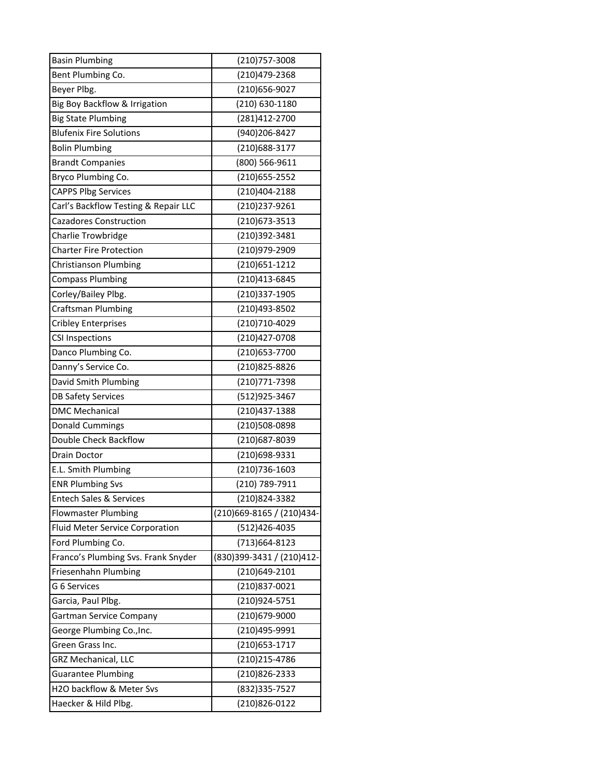| <b>Basin Plumbing</b>                | (210)757-3008             |
|--------------------------------------|---------------------------|
| Bent Plumbing Co.                    | (210)479-2368             |
| Beyer Plbg.                          | (210)656-9027             |
| Big Boy Backflow & Irrigation        | (210) 630-1180            |
| <b>Big State Plumbing</b>            | (281)412-2700             |
| <b>Blufenix Fire Solutions</b>       | (940)206-8427             |
| <b>Bolin Plumbing</b>                | (210)688-3177             |
| <b>Brandt Companies</b>              | (800) 566-9611            |
| Bryco Plumbing Co.                   | (210) 655-2552            |
| <b>CAPPS Plbg Services</b>           | (210)404-2188             |
| Carl's Backflow Testing & Repair LLC | (210)237-9261             |
| <b>Cazadores Construction</b>        | (210) 673 - 3513          |
| <b>Charlie Trowbridge</b>            | (210)392-3481             |
| <b>Charter Fire Protection</b>       | (210)979-2909             |
| Christianson Plumbing                | (210) 651-1212            |
| <b>Compass Plumbing</b>              | (210)413-6845             |
| Corley/Bailey Plbg.                  | (210)337-1905             |
| <b>Craftsman Plumbing</b>            | (210)493-8502             |
| <b>Cribley Enterprises</b>           | (210)710-4029             |
| <b>CSI Inspections</b>               | (210)427-0708             |
| Danco Plumbing Co.                   | (210)653-7700             |
| Danny's Service Co.                  | (210)825-8826             |
| David Smith Plumbing                 | (210)771-7398             |
| <b>DB Safety Services</b>            | (512)925-3467             |
| <b>DMC Mechanical</b>                | (210)437-1388             |
| <b>Donald Cummings</b>               | (210)508-0898             |
| Double Check Backflow                | (210)687-8039             |
| <b>Drain Doctor</b>                  | (210)698-9331             |
| E.L. Smith Plumbing                  | (210)736-1603             |
| <b>ENR Plumbing Svs</b>              | (210) 789-7911            |
| <b>Entech Sales &amp; Services</b>   | (210)824-3382             |
| <b>Flowmaster Plumbing</b>           | (210)669-8165 / (210)434- |
| Fluid Meter Service Corporation      | (512)426-4035             |
| Ford Plumbing Co.                    | (713)664-8123             |
| Franco's Plumbing Svs. Frank Snyder  | (830)399-3431 / (210)412- |
| Friesenhahn Plumbing                 | (210)649-2101             |
| G 6 Services                         | (210)837-0021             |
| Garcia, Paul Plbg.                   | (210)924-5751             |
| <b>Gartman Service Company</b>       | (210)679-9000             |
| George Plumbing Co., Inc.            | (210)495-9991             |
| Green Grass Inc.                     | (210) 653-1717            |
| <b>GRZ Mechanical, LLC</b>           | (210) 215-4786            |
| <b>Guarantee Plumbing</b>            | (210)826-2333             |
| H2O backflow & Meter Svs             | (832) 335-7527            |
| Haecker & Hild Plbg.                 | (210)826-0122             |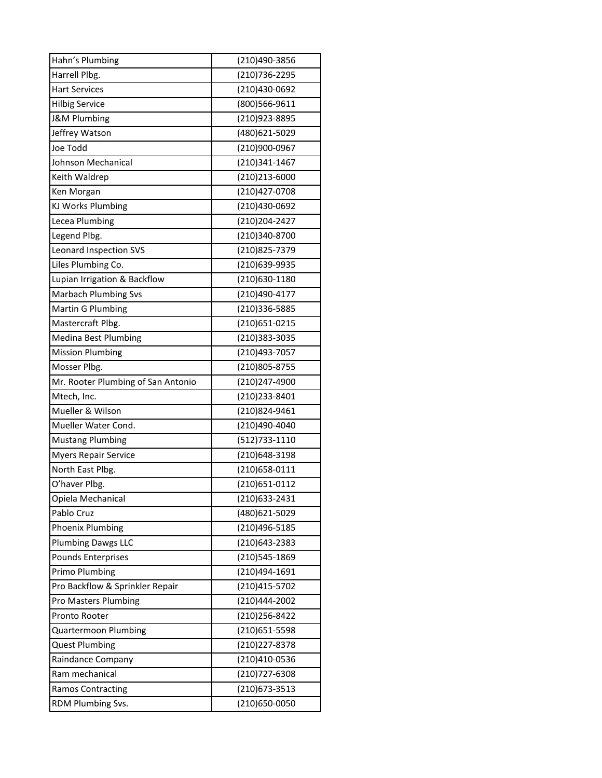| Hahn's Plumbing                    | (210)490-3856  |
|------------------------------------|----------------|
| Harrell Plbg.                      | (210)736-2295  |
| <b>Hart Services</b>               | (210)430-0692  |
| <b>Hilbig Service</b>              | (800)566-9611  |
| <b>J&amp;M Plumbing</b>            | (210)923-8895  |
| Jeffrey Watson                     | (480)621-5029  |
| Joe Todd                           | (210)900-0967  |
| Johnson Mechanical                 | (210)341-1467  |
| Keith Waldrep                      | (210)213-6000  |
| Ken Morgan                         | (210)427-0708  |
| KJ Works Plumbing                  | (210)430-0692  |
| Lecea Plumbing                     | (210) 204-2427 |
| Legend Plbg.                       | (210)340-8700  |
| Leonard Inspection SVS             | (210)825-7379  |
| Liles Plumbing Co.                 | (210)639-9935  |
| Lupian Irrigation & Backflow       | (210)630-1180  |
| <b>Marbach Plumbing Svs</b>        | (210)490-4177  |
| Martin G Plumbing                  | (210)336-5885  |
| Mastercraft Plbg.                  | (210)651-0215  |
| Medina Best Plumbing               | (210)383-3035  |
| <b>Mission Plumbing</b>            | (210)493-7057  |
| Mosser Plbg.                       | (210)805-8755  |
| Mr. Rooter Plumbing of San Antonio | (210)247-4900  |
| Mtech, Inc.                        | (210)233-8401  |
| Mueller & Wilson                   | (210)824-9461  |
| Mueller Water Cond.                | (210)490-4040  |
| <b>Mustang Plumbing</b>            | (512)733-1110  |
| Myers Repair Service               | (210)648-3198  |
| North East Plbg.                   | (210) 658-0111 |
| O'haver Plbg.                      | (210) 651-0112 |
| Opiela Mechanical                  | (210)633-2431  |
| Pablo Cruz                         | (480)621-5029  |
| Phoenix Plumbing                   | (210)496-5185  |
| <b>Plumbing Dawgs LLC</b>          | (210)643-2383  |
| Pounds Enterprises                 | (210)545-1869  |
| Primo Plumbing                     | (210)494-1691  |
| Pro Backflow & Sprinkler Repair    | (210)415-5702  |
| Pro Masters Plumbing               | (210)444-2002  |
| Pronto Rooter                      | (210) 256-8422 |
| <b>Quartermoon Plumbing</b>        | (210)651-5598  |
| <b>Quest Plumbing</b>              | (210) 227-8378 |
| Raindance Company                  | (210)410-0536  |
| Ram mechanical                     | (210)727-6308  |
| <b>Ramos Contracting</b>           | (210) 673-3513 |
| RDM Plumbing Svs.                  | (210)650-0050  |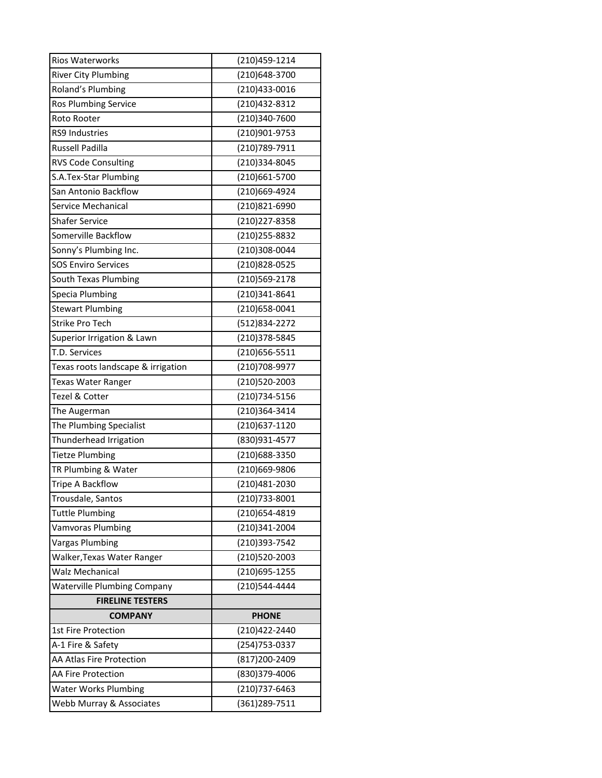| <b>Rios Waterworks</b>             | (210)459-1214  |
|------------------------------------|----------------|
| <b>River City Plumbing</b>         | (210)648-3700  |
| Roland's Plumbing                  | (210)433-0016  |
| Ros Plumbing Service               | (210)432-8312  |
| Roto Rooter                        | (210)340-7600  |
| <b>RS9 Industries</b>              | (210)901-9753  |
| <b>Russell Padilla</b>             | (210)789-7911  |
| <b>RVS Code Consulting</b>         | (210)334-8045  |
| S.A.Tex-Star Plumbing              | (210)661-5700  |
| San Antonio Backflow               | (210)669-4924  |
| Service Mechanical                 | (210)821-6990  |
| <b>Shafer Service</b>              | (210) 227-8358 |
| Somerville Backflow                | (210) 255-8832 |
| Sonny's Plumbing Inc.              | (210)308-0044  |
| <b>SOS Enviro Services</b>         | (210)828-0525  |
| South Texas Plumbing               | (210)569-2178  |
| Specia Plumbing                    | (210)341-8641  |
| <b>Stewart Plumbing</b>            | (210)658-0041  |
| <b>Strike Pro Tech</b>             | (512)834-2272  |
| Superior Irrigation & Lawn         | (210)378-5845  |
| T.D. Services                      | (210)656-5511  |
| Texas roots landscape & irrigation | (210)708-9977  |
| Texas Water Ranger                 | (210)520-2003  |
| Tezel & Cotter                     | (210)734-5156  |
| The Augerman                       | (210)364-3414  |
| The Plumbing Specialist            | (210)637-1120  |
| Thunderhead Irrigation             | (830)931-4577  |
| <b>Tietze Plumbing</b>             | (210)688-3350  |
| TR Plumbing & Water                | (210)669-9806  |
| Tripe A Backflow                   | (210)481-2030  |
| Trousdale, Santos                  | (210)733-8001  |
| <b>Tuttle Plumbing</b>             | (210)654-4819  |
| <b>Vamvoras Plumbing</b>           | (210)341-2004  |
| <b>Vargas Plumbing</b>             | (210)393-7542  |
| Walker, Texas Water Ranger         | (210)520-2003  |
| <b>Walz Mechanical</b>             | (210)695-1255  |
| <b>Waterville Plumbing Company</b> | (210)544-4444  |
| <b>FIRELINE TESTERS</b>            |                |
| <b>COMPANY</b>                     | <b>PHONE</b>   |
| 1st Fire Protection                | (210)422-2440  |
| A-1 Fire & Safety                  | (254)753-0337  |
| AA Atlas Fire Protection           | (817) 200-2409 |
| <b>AA Fire Protection</b>          | (830)379-4006  |
| <b>Water Works Plumbing</b>        | (210)737-6463  |
| Webb Murray & Associates           | (361) 289-7511 |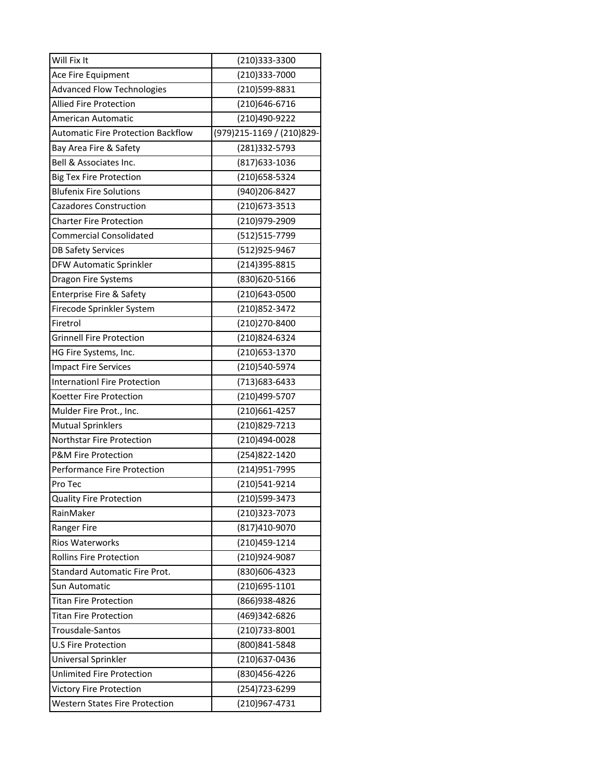| Will Fix It                               | (210)333-3300             |
|-------------------------------------------|---------------------------|
| Ace Fire Equipment                        | (210)333-7000             |
| <b>Advanced Flow Technologies</b>         | (210)599-8831             |
| <b>Allied Fire Protection</b>             | (210)646-6716             |
| American Automatic                        | (210)490-9222             |
| <b>Automatic Fire Protection Backflow</b> | (979)215-1169 / (210)829- |
| Bay Area Fire & Safety                    | (281)332-5793             |
| Bell & Associates Inc.                    | (817) 633-1036            |
| <b>Big Tex Fire Protection</b>            | (210) 658-5324            |
| <b>Blufenix Fire Solutions</b>            | (940) 206-8427            |
| <b>Cazadores Construction</b>             | (210) 673 - 3513          |
| <b>Charter Fire Protection</b>            | (210)979-2909             |
| <b>Commercial Consolidated</b>            | (512) 515-7799            |
| <b>DB Safety Services</b>                 | (512)925-9467             |
| DFW Automatic Sprinkler                   | (214)395-8815             |
| Dragon Fire Systems                       | (830)620-5166             |
| Enterprise Fire & Safety                  | (210)643-0500             |
| Firecode Sprinkler System                 | (210)852-3472             |
| Firetrol                                  | (210) 270-8400            |
| <b>Grinnell Fire Protection</b>           | (210)824-6324             |
| HG Fire Systems, Inc.                     | (210) 653-1370            |
| <b>Impact Fire Services</b>               | (210)540-5974             |
| <b>Internationl Fire Protection</b>       | (713) 683-6433            |
| Koetter Fire Protection                   | (210)499-5707             |
| Mulder Fire Prot., Inc.                   | (210)661-4257             |
| <b>Mutual Sprinklers</b>                  | (210)829-7213             |
| Northstar Fire Protection                 | (210)494-0028             |
| <b>P&amp;M Fire Protection</b>            | (254)822-1420             |
| <b>Performance Fire Protection</b>        | (214) 951 - 7995          |
| Pro Tec                                   | (210)541-9214             |
| <b>Quality Fire Protection</b>            | (210)599-3473             |
| RainMaker                                 | (210)323-7073             |
| <b>Ranger Fire</b>                        | (817)410-9070             |
| <b>Rios Waterworks</b>                    | (210)459-1214             |
| <b>Rollins Fire Protection</b>            | (210)924-9087             |
| <b>Standard Automatic Fire Prot.</b>      | (830)606-4323             |
| <b>Sun Automatic</b>                      | (210)695-1101             |
| <b>Titan Fire Protection</b>              | (866) 938-4826            |
| <b>Titan Fire Protection</b>              | (469)342-6826             |
| Trousdale-Santos                          | (210)733-8001             |
| <b>U.S Fire Protection</b>                | (800)841-5848             |
| Universal Sprinkler                       | (210)637-0436             |
| <b>Unlimited Fire Protection</b>          | (830)456-4226             |
| Victory Fire Protection                   | (254)723-6299             |
| <b>Western States Fire Protection</b>     | (210)967-4731             |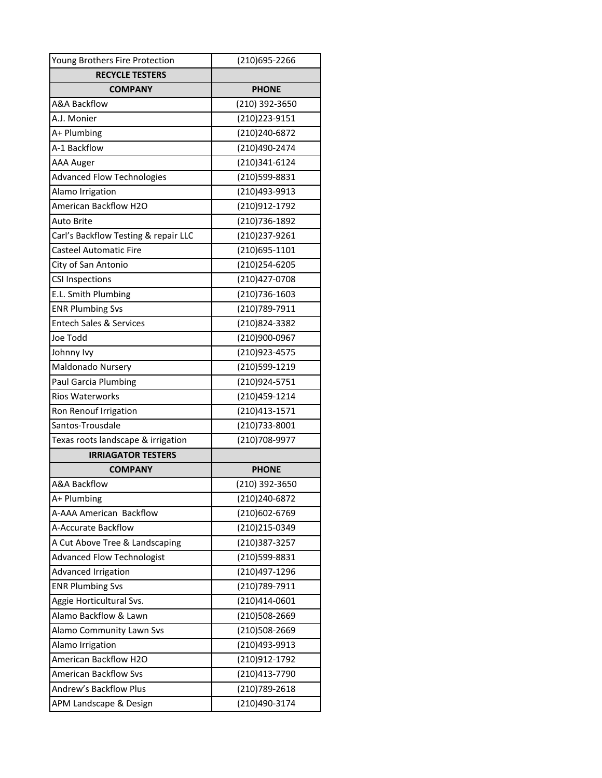| Young Brothers Fire Protection       | (210)695-2266  |
|--------------------------------------|----------------|
| <b>RECYCLE TESTERS</b>               |                |
| <b>COMPANY</b>                       | <b>PHONE</b>   |
| <b>A&amp;A Backflow</b>              | (210) 392-3650 |
| A.J. Monier                          | (210) 223-9151 |
| A+ Plumbing                          | (210)240-6872  |
| A-1 Backflow                         | (210)490-2474  |
| <b>AAA Auger</b>                     | (210)341-6124  |
| <b>Advanced Flow Technologies</b>    | (210)599-8831  |
| Alamo Irrigation                     | (210)493-9913  |
| American Backflow H2O                | (210)912-1792  |
| Auto Brite                           | (210) 736-1892 |
| Carl's Backflow Testing & repair LLC | (210) 237-9261 |
| <b>Casteel Automatic Fire</b>        | (210)695-1101  |
| City of San Antonio                  | (210)254-6205  |
| <b>CSI Inspections</b>               | (210)427-0708  |
| E.L. Smith Plumbing                  | (210)736-1603  |
| <b>ENR Plumbing Svs</b>              | (210) 789-7911 |
| <b>Entech Sales &amp; Services</b>   | (210)824-3382  |
| Joe Todd                             | (210)900-0967  |
| Johnny Ivy                           | (210)923-4575  |
| Maldonado Nursery                    | (210)599-1219  |
| Paul Garcia Plumbing                 | (210)924-5751  |
| <b>Rios Waterworks</b>               | (210)459-1214  |
| Ron Renouf Irrigation                | (210)413-1571  |
| Santos-Trousdale                     | (210)733-8001  |
| Texas roots landscape & irrigation   | (210)708-9977  |
| <b>IRRIAGATOR TESTERS</b>            |                |
| <b>COMPANY</b>                       | <b>PHONE</b>   |
| <b>A&amp;A Backflow</b>              | (210) 392-3650 |
| A+ Plumbing                          | (210)240-6872  |
| A-AAA American Backflow              | (210)602-6769  |
| A-Accurate Backflow                  | (210)215-0349  |
| A Cut Above Tree & Landscaping       | (210)387-3257  |
| <b>Advanced Flow Technologist</b>    | (210)599-8831  |
| <b>Advanced Irrigation</b>           | (210)497-1296  |
| <b>ENR Plumbing Svs</b>              | (210) 789-7911 |
| Aggie Horticultural Svs.             | (210)414-0601  |
| Alamo Backflow & Lawn                | (210)508-2669  |
| Alamo Community Lawn Svs             | (210)508-2669  |
| Alamo Irrigation                     | (210)493-9913  |
| American Backflow H2O                | (210)912-1792  |
| <b>American Backflow Svs</b>         | (210)413-7790  |
| Andrew's Backflow Plus               | (210) 789-2618 |
| APM Landscape & Design               | (210)490-3174  |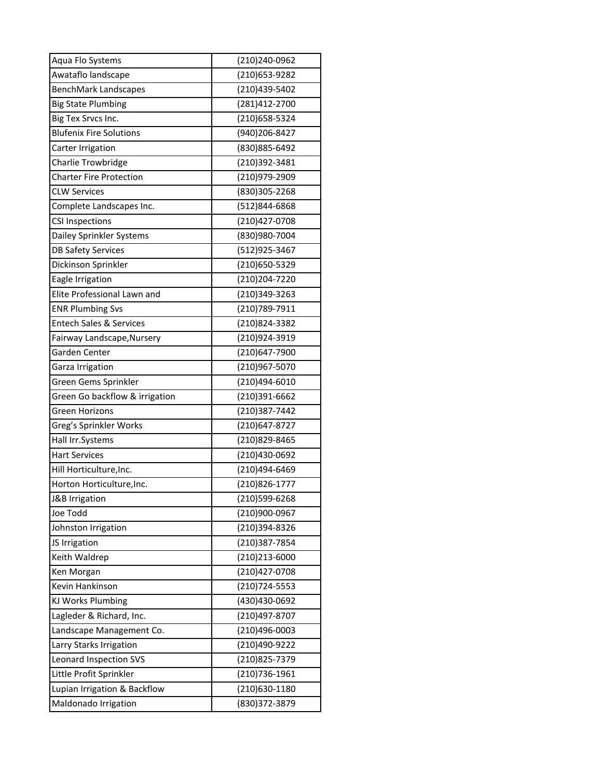| Aqua Flo Systems                   | (210)240-0962  |
|------------------------------------|----------------|
| Awataflo landscape                 | (210) 653-9282 |
| <b>BenchMark Landscapes</b>        | (210)439-5402  |
| <b>Big State Plumbing</b>          | (281)412-2700  |
| Big Tex Srvcs Inc.                 | (210) 658-5324 |
| <b>Blufenix Fire Solutions</b>     | (940)206-8427  |
| Carter Irrigation                  | (830) 885-6492 |
| Charlie Trowbridge                 | (210)392-3481  |
| <b>Charter Fire Protection</b>     | (210)979-2909  |
| <b>CLW Services</b>                | (830)305-2268  |
| Complete Landscapes Inc.           | (512)844-6868  |
| <b>CSI Inspections</b>             | (210)427-0708  |
| Dailey Sprinkler Systems           | (830)980-7004  |
| <b>DB Safety Services</b>          | (512)925-3467  |
| Dickinson Sprinkler                | (210)650-5329  |
| Eagle Irrigation                   | (210) 204-7220 |
| Elite Professional Lawn and        | (210)349-3263  |
| <b>ENR Plumbing Svs</b>            | (210)789-7911  |
| <b>Entech Sales &amp; Services</b> | (210)824-3382  |
| Fairway Landscape, Nursery         | (210)924-3919  |
| Garden Center                      | (210)647-7900  |
| Garza Irrigation                   | (210)967-5070  |
| Green Gems Sprinkler               | (210)494-6010  |
| Green Go backflow & irrigation     | (210)391-6662  |
| Green Horizons                     | (210)387-7442  |
| Greg's Sprinkler Works             | (210)647-8727  |
| Hall Irr.Systems                   | (210)829-8465  |
| <b>Hart Services</b>               | (210)430-0692  |
| Hill Horticulture, Inc.            | (210)494-6469  |
| Horton Horticulture, Inc.          | (210)826-1777  |
| J&B Irrigation                     | (210)599-6268  |
| Joe Todd                           | (210)900-0967  |
| Johnston Irrigation                | (210)394-8326  |
| JS Irrigation                      | (210)387-7854  |
| Keith Waldrep                      | (210)213-6000  |
| Ken Morgan                         | (210)427-0708  |
| Kevin Hankinson                    | (210) 724-5553 |
| KJ Works Plumbing                  | (430)430-0692  |
| Lagleder & Richard, Inc.           | (210)497-8707  |
| Landscape Management Co.           | (210)496-0003  |
| Larry Starks Irrigation            | (210)490-9222  |
| Leonard Inspection SVS             | (210)825-7379  |
| Little Profit Sprinkler            | (210) 736-1961 |
| Lupian Irrigation & Backflow       | (210)630-1180  |
| Maldonado Irrigation               | (830) 372-3879 |